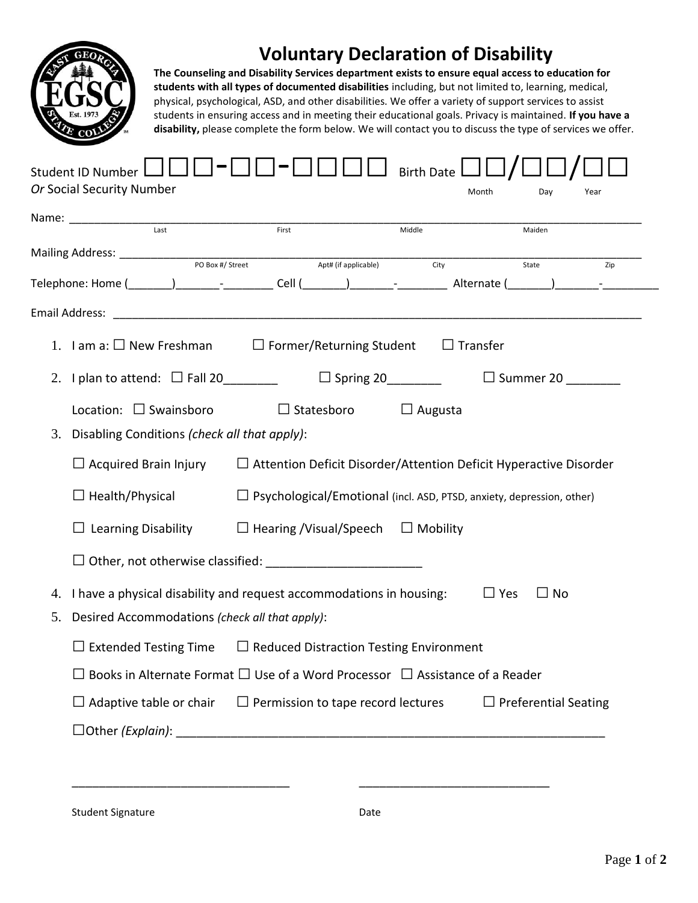

## **Voluntary Declaration of Disability**

**The Counseling and Disability Services department exists to ensure equal access to education for students with all types of documented disabilities** including, but not limited to, learning, medical, physical, psychological, ASD, and other disabilities. We offer a variety of support services to assist students in ensuring access and in meeting their educational goals. Privacy is maintained. **If you have a disability,** please complete the form below. We will contact you to discuss the type of services we offer.

| Name: Name:<br>$\frac{1}{\text{Last}}$               | First                                                                                         | Middle                                                                   | Maiden                                                                       |  |
|------------------------------------------------------|-----------------------------------------------------------------------------------------------|--------------------------------------------------------------------------|------------------------------------------------------------------------------|--|
|                                                      |                                                                                               |                                                                          |                                                                              |  |
|                                                      | Apt# (if applicable)                                                                          | City                                                                     | State<br>Zip                                                                 |  |
|                                                      |                                                                                               |                                                                          |                                                                              |  |
|                                                      | 1. I am a: $\square$ New Freshman $\square$ Former/Returning Student $\square$ Transfer       |                                                                          |                                                                              |  |
|                                                      |                                                                                               |                                                                          |                                                                              |  |
| 2. I plan to attend: $\Box$ Fall 20 _______          |                                                                                               | $\Box$ Spring 20                                                         | $\Box$ Summer 20                                                             |  |
| Location: $\Box$ Swainsboro                          | $\Box$ Statesboro                                                                             | $\Box$ Augusta                                                           |                                                                              |  |
| Disabling Conditions (check all that apply):<br>3.   |                                                                                               |                                                                          |                                                                              |  |
| $\Box$ Acquired Brain Injury                         |                                                                                               | $\Box$ Attention Deficit Disorder/Attention Deficit Hyperactive Disorder |                                                                              |  |
| $\Box$ Health/Physical                               |                                                                                               |                                                                          | $\Box$ Psychological/Emotional (incl. ASD, PTSD, anxiety, depression, other) |  |
|                                                      | $\Box$ Learning Disability $\Box$ Hearing /Visual/Speech $\Box$ Mobility                      |                                                                          |                                                                              |  |
|                                                      |                                                                                               |                                                                          |                                                                              |  |
| 4.                                                   | I have a physical disability and request accommodations in housing:                           |                                                                          | $\Box$ No<br>$\Box$ Yes                                                      |  |
| 5.<br>Desired Accommodations (check all that apply): |                                                                                               |                                                                          |                                                                              |  |
|                                                      | $\Box$ Extended Testing Time $\Box$ Reduced Distraction Testing Environment                   |                                                                          |                                                                              |  |
|                                                      | $\Box$ Books in Alternate Format $\Box$ Use of a Word Processor $\Box$ Assistance of a Reader |                                                                          |                                                                              |  |
|                                                      | $\Box$ Adaptive table or chair $\Box$ Permission to tape record lectures                      |                                                                          | $\Box$ Preferential Seating                                                  |  |
|                                                      |                                                                                               |                                                                          |                                                                              |  |

Student Signature Date